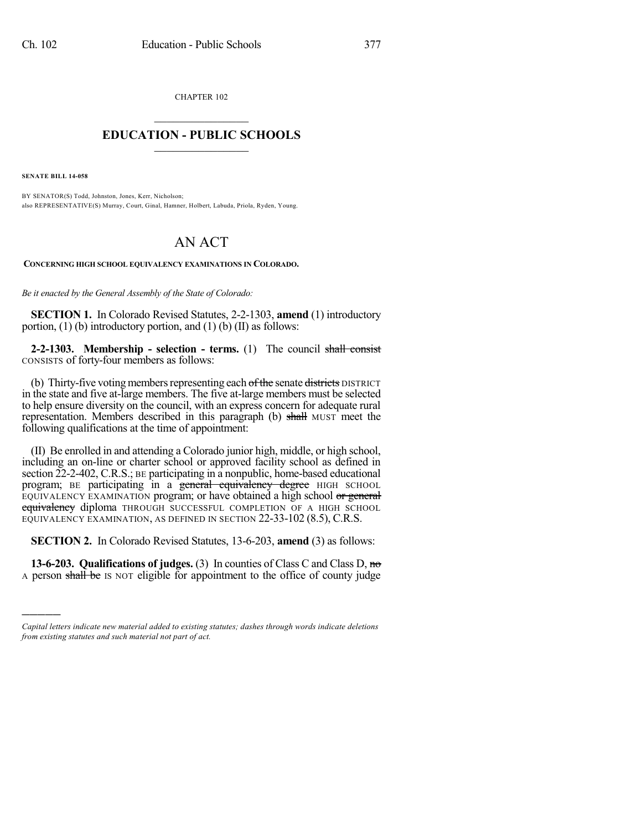CHAPTER 102  $\overline{\phantom{a}}$  . The set of the set of the set of the set of the set of the set of the set of the set of the set of the set of the set of the set of the set of the set of the set of the set of the set of the set of the set o

## **EDUCATION - PUBLIC SCHOOLS**  $\_$   $\_$   $\_$   $\_$   $\_$   $\_$   $\_$   $\_$   $\_$

**SENATE BILL 14-058**

)))))

BY SENATOR(S) Todd, Johnston, Jones, Kerr, Nicholson; also REPRESENTATIVE(S) Murray, Court, Ginal, Hamner, Holbert, Labuda, Priola, Ryden, Young.

## AN ACT

**CONCERNING HIGH SCHOOL EQUIVALENCY EXAMINATIONS IN COLORADO.**

*Be it enacted by the General Assembly of the State of Colorado:*

**SECTION 1.** In Colorado Revised Statutes, 2-2-1303, **amend** (1) introductory portion,  $(1)$  (b) introductory portion, and  $(1)$  (b) (II) as follows:

**2-2-1303. Membership - selection - terms.** (1) The council shall consist CONSISTS of forty-four members as follows:

(b) Thirty-five voting members representing each of the senate districts DISTRICT in the state and five at-large members. The five at-large members must be selected to help ensure diversity on the council, with an express concern for adequate rural representation. Members described in this paragraph (b) shall MUST meet the following qualifications at the time of appointment:

(II) Be enrolled in and attending a Colorado junior high, middle, or high school, including an on-line or charter school or approved facility school as defined in section 22-2-402, C.R.S.; BE participating in a nonpublic, home-based educational program; BE participating in a general equivalency degree HIGH SCHOOL EQUIVALENCY EXAMINATION program; or have obtained a high school or general equivalency diploma THROUGH SUCCESSFUL COMPLETION OF A HIGH SCHOOL EQUIVALENCY EXAMINATION, AS DEFINED IN SECTION 22-33-102 (8.5), C.R.S.

**SECTION 2.** In Colorado Revised Statutes, 13-6-203, **amend** (3) as follows:

**13-6-203. Qualifications of judges.** (3) In counties of Class C and Class D, no A person shall be IS NOT eligible for appointment to the office of county judge

*Capital letters indicate new material added to existing statutes; dashes through words indicate deletions from existing statutes and such material not part of act.*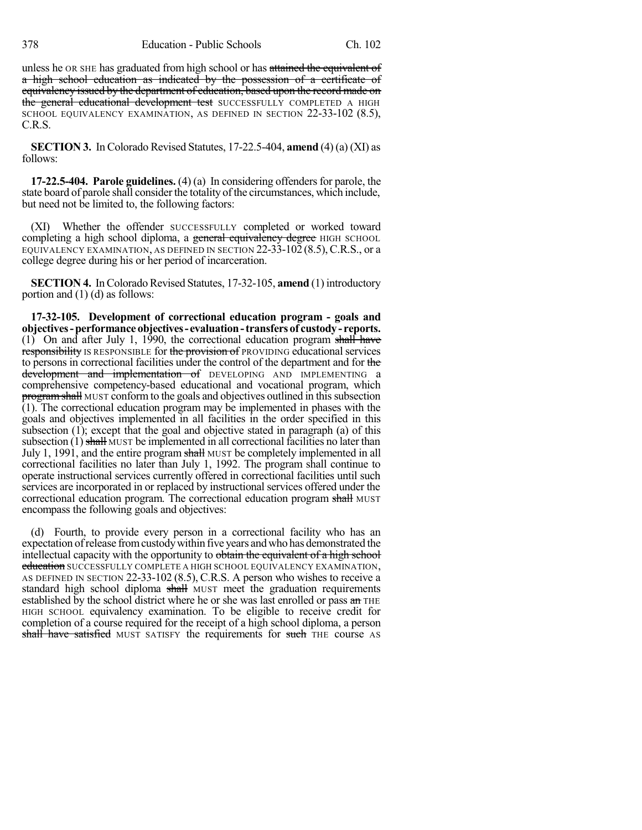unless he OR SHE has graduated from high school or has attained the equivalent of a high school education as indicated by the possession of a certificate of equivalency issued by the department of education, based upon the record made on the general educational development test SUCCESSFULLY COMPLETED A HIGH SCHOOL EQUIVALENCY EXAMINATION, AS DEFINED IN SECTION 22-33-102 (8.5), C.R.S.

**SECTION 3.** In Colorado Revised Statutes, 17-22.5-404, **amend** (4) (a) (XI) as follows:

**17-22.5-404. Parole guidelines.** (4) (a) In considering offenders for parole, the state board of parole shall consider the totality of the circumstances, which include, but need not be limited to, the following factors:

(XI) Whether the offender SUCCESSFULLY completed or worked toward completing a high school diploma, a general equivalency degree HIGH SCHOOL EQUIVALENCY EXAMINATION, AS DEFINED IN SECTION  $22-33-102(8.5)$ , C.R.S., or a college degree during his or her period of incarceration.

**SECTION 4.** In Colorado Revised Statutes, 17-32-105, **amend** (1) introductory portion and (1) (d) as follows:

**17-32-105. Development of correctional education program - goals and objectives-performanceobjectives- evaluation-transfersof custody- reports.** (1) On and after July 1, 1990, the correctional education program shall have responsibility IS RESPONSIBLE for the provision of PROVIDING educational services to persons in correctional facilities under the control of the department and for the development and implementation of DEVELOPING AND IMPLEMENTING a comprehensive competency-based educational and vocational program, which program shall MUST conform to the goals and objectives outlined in this subsection (1). The correctional education program may be implemented in phases with the goals and objectives implemented in all facilities in the order specified in this subsection (1); except that the goal and objective stated in paragraph (a) of this subsection  $(1)$  shall MUST be implemented in all correctional facilities no later than July 1, 1991, and the entire program shall MUST be completely implemented in all correctional facilities no later than July 1, 1992. The program shall continue to operate instructional services currently offered in correctional facilities until such services are incorporated in or replaced by instructional services offered under the correctional education program. The correctional education program shall MUST encompass the following goals and objectives:

(d) Fourth, to provide every person in a correctional facility who has an expectation ofrelease fromcustodywithin five years and who has demonstrated the intellectual capacity with the opportunity to obtain the equivalent of a high school **education** SUCCESSFULLY COMPLETE A HIGH SCHOOL EQUIVALENCY EXAMINATION, AS DEFINED IN SECTION 22-33-102 (8.5), C.R.S. A person who wishes to receive a standard high school diploma shall MUST meet the graduation requirements established by the school district where he or she was last enrolled or pass an THE HIGH SCHOOL equivalency examination. To be eligible to receive credit for completion of a course required for the receipt of a high school diploma, a person shall have satisfied MUST SATISFY the requirements for such THE course AS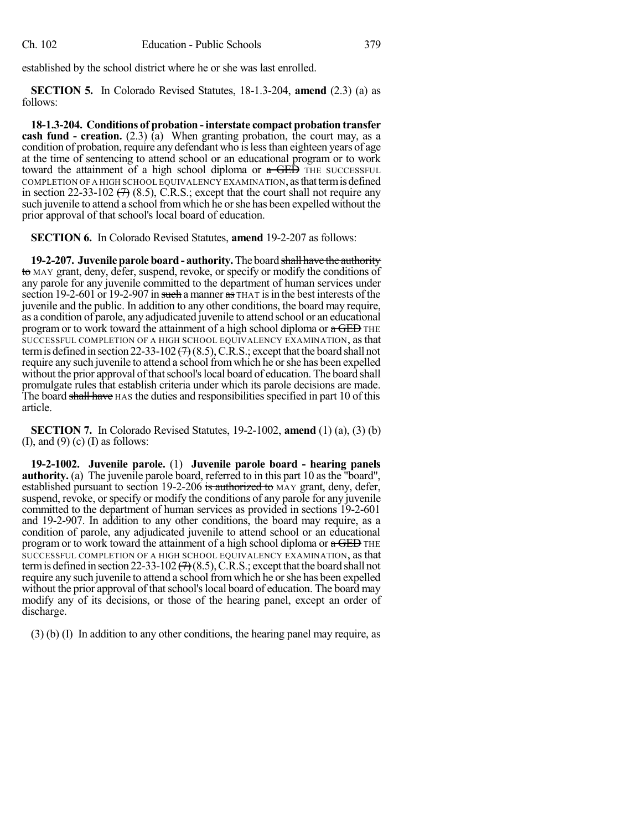established by the school district where he or she was last enrolled.

**SECTION 5.** In Colorado Revised Statutes, 18-1.3-204, **amend** (2.3) (a) as follows:

**18-1.3-204. Conditions of probation -interstate compact probation transfer cash fund - creation.** (2.3) (a) When granting probation, the court may, as a condition of probation, require any defendant who is less than eighteen years of age at the time of sentencing to attend school or an educational program or to work toward the attainment of a high school diploma or  $\alpha$  GED THE SUCCESSFUL COMPLETION OF A HIGH SCHOOL EQUIVALENCY EXAMINATION, as that term is defined in section 22-33-102  $(7)$  (8.5), C.R.S.; except that the court shall not require any such juvenile to attend a school fromwhich he orshe has been expelled without the prior approval of that school's local board of education.

**SECTION 6.** In Colorado Revised Statutes, **amend** 19-2-207 as follows:

**19-2-207. Juvenile parole board - authority.**The board shall have the authority to MAY grant, deny, defer, suspend, revoke, or specify or modify the conditions of any parole for any juvenile committed to the department of human services under section 19-2-601 or 19-2-907 in such a manner as THAT is in the best interests of the juvenile and the public. In addition to any other conditions, the board may require, as a condition of parole, any adjudicated juvenile to attend school or an educational program or to work toward the attainment of a high school diploma or  $a$  GED THE SUCCESSFUL COMPLETION OF A HIGH SCHOOL EQUIVALENCY EXAMINATION, as that term is defined in section 22-33-102  $(7)$  (8.5), C.R.S.; except that the board shall not require any such juvenile to attend a school from which he or she has been expelled without the prior approval of that school's local board of education. The board shall promulgate rules that establish criteria under which its parole decisions are made. The board shall have HAS the duties and responsibilities specified in part 10 of this article.

**SECTION 7.** In Colorado Revised Statutes, 19-2-1002, **amend** (1) (a), (3) (b) (I), and  $(9)$  (c) (I) as follows:

**19-2-1002. Juvenile parole.** (1) **Juvenile parole board - hearing panels authority.** (a) The juvenile parole board, referred to in this part 10 as the "board", established pursuant to section 19-2-206 is authorized to MAY grant, deny, defer, suspend, revoke, or specify or modify the conditions of any parole for any juvenile committed to the department of human services as provided in sections 19-2-601 and 19-2-907. In addition to any other conditions, the board may require, as a condition of parole, any adjudicated juvenile to attend school or an educational program or to work toward the attainment of a high school diploma or  $a$  GED THE SUCCESSFUL COMPLETION OF A HIGH SCHOOL EQUIVALENCY EXAMINATION, as that term is defined in section 22-33-102  $(7)(8.5)$ , C.R.S.; except that the board shall not require any such juvenile to attend a school from which he or she has been expelled without the prior approval of that school's local board of education. The board may modify any of its decisions, or those of the hearing panel, except an order of discharge.

(3) (b) (I) In addition to any other conditions, the hearing panel may require, as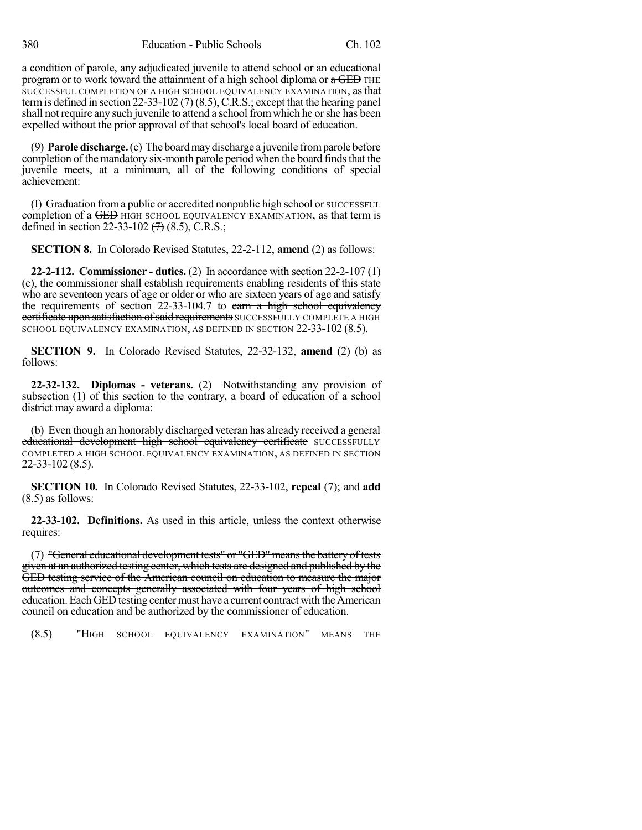a condition of parole, any adjudicated juvenile to attend school or an educational program or to work toward the attainment of a high school diploma or  $\alpha$  GED THE SUCCESSFUL COMPLETION OF A HIGH SCHOOL EQUIVALENCY EXAMINATION, as that term is defined in section 22-33-102  $(7)$  (8.5), C.R.S.; except that the hearing panel shall not require any such juvenile to attend a school from which he or she has been expelled without the prior approval of that school's local board of education.

(9) **Parole discharge.**(c) The boardmaydischarge a juvenile fromparole before completion of the mandatory six-month parole period when the board finds that the juvenile meets, at a minimum, all of the following conditions of special achievement:

(I) Graduation froma public or accredited nonpublic high school or SUCCESSFUL completion of a GED HIGH SCHOOL EQUIVALENCY EXAMINATION, as that term is defined in section 22-33-102  $(7)$  (8.5), C.R.S.;

**SECTION 8.** In Colorado Revised Statutes, 22-2-112, **amend** (2) as follows:

**22-2-112. Commissioner - duties.** (2) In accordance with section 22-2-107 (1) (c), the commissioner shall establish requirements enabling residents of this state who are seventeen years of age or older or who are sixteen years of age and satisfy the requirements of section 22-33-104.7 to earn a high school equivalency certificate upon satisfaction of said requirements SUCCESSFULLY COMPLETE A HIGH SCHOOL EQUIVALENCY EXAMINATION, AS DEFINED IN SECTION 22-33-102 (8.5).

**SECTION 9.** In Colorado Revised Statutes, 22-32-132, **amend** (2) (b) as follows:

**22-32-132. Diplomas - veterans.** (2) Notwithstanding any provision of subsection (1) of this section to the contrary, a board of education of a school district may award a diploma:

(b) Even though an honorably discharged veteran has already received a general educational development high school equivalency certificate SUCCESSFULLY COMPLETED A HIGH SCHOOL EQUIVALENCY EXAMINATION, AS DEFINED IN SECTION 22-33-102 (8.5).

**SECTION 10.** In Colorado Revised Statutes, 22-33-102, **repeal** (7); and **add** (8.5) as follows:

**22-33-102. Definitions.** As used in this article, unless the context otherwise requires:

(7) "General educational development tests" or "GED"meansthe battery of tests given at an authorized testing center, which tests are designed and published by the GED testing service of the American council on education to measure the major outcomes and concepts generally associated with four years of high school education. Each GED testing center must have a current contract with the American council on education and be authorized by the commissioner of education.

(8.5) "HIGH SCHOOL EQUIVALENCY EXAMINATION" MEANS THE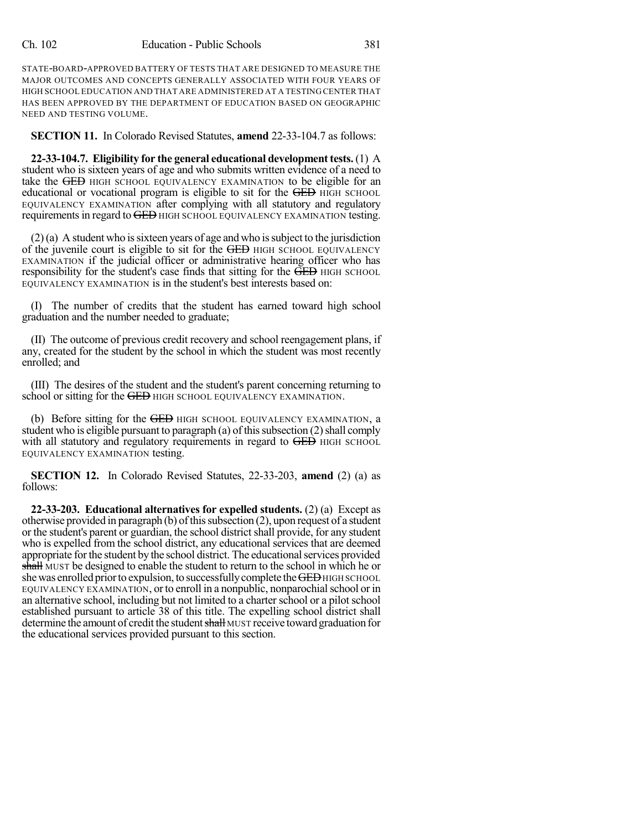STATE-BOARD-APPROVED BATTERY OF TESTS THAT ARE DESIGNED TO MEASURE THE MAJOR OUTCOMES AND CONCEPTS GENERALLY ASSOCIATED WITH FOUR YEARS OF HIGH SCHOOL EDUCATION AND THAT ARE ADMINISTERED AT A TESTING CENTER THAT HAS BEEN APPROVED BY THE DEPARTMENT OF EDUCATION BASED ON GEOGRAPHIC NEED AND TESTING VOLUME.

**SECTION 11.** In Colorado Revised Statutes, **amend** 22-33-104.7 as follows:

**22-33-104.7. Eligibility for the general educational development tests.** (1) A student who is sixteen years of age and who submits written evidence of a need to take the GED HIGH SCHOOL EQUIVALENCY EXAMINATION to be eligible for an educational or vocational program is eligible to sit for the GED HIGH SCHOOL EQUIVALENCY EXAMINATION after complying with all statutory and regulatory requirements in regard to GED HIGH SCHOOL EQUIVALENCY EXAMINATION testing.

 $(2)$ (a) A student who is sixteen years of age and who is subject to the jurisdiction of the juvenile court is eligible to sit for the GED HIGH SCHOOL EQUIVALENCY EXAMINATION if the judicial officer or administrative hearing officer who has responsibility for the student's case finds that sitting for the GED HIGH SCHOOL EQUIVALENCY EXAMINATION is in the student's best interests based on:

(I) The number of credits that the student has earned toward high school graduation and the number needed to graduate;

(II) The outcome of previous credit recovery and school reengagement plans, if any, created for the student by the school in which the student was most recently enrolled; and

(III) The desires of the student and the student's parent concerning returning to school or sitting for the GED HIGH SCHOOL EQUIVALENCY EXAMINATION.

(b) Before sitting for the GED HIGH SCHOOL EQUIVALENCY EXAMINATION, a student who is eligible pursuant to paragraph (a) of this subsection  $(2)$  shall comply with all statutory and regulatory requirements in regard to GED HIGH SCHOOL EQUIVALENCY EXAMINATION testing.

**SECTION 12.** In Colorado Revised Statutes, 22-33-203, **amend** (2) (a) as follows:

**22-33-203. Educational alternatives for expelled students.** (2) (a) Except as otherwise provided in paragraph  $(b)$  of this subsection  $(2)$ , upon request of a student or the student's parent or guardian, the school district shall provide, for any student who is expelled from the school district, any educational services that are deemed appropriate forthe student by the school district. The educationalservices provided shall MUST be designed to enable the student to return to the school in which he or she was enrolled prior to expulsion, to successfully complete the GED HIGH SCHOOL EQUIVALENCY EXAMINATION, orto enroll in a nonpublic, nonparochialschool or in an alternative school, including but not limited to a charterschool or a pilot school established pursuant to article 38 of this title. The expelling school district shall determine the amount of credit the student shall MUST receive toward graduation for the educational services provided pursuant to this section.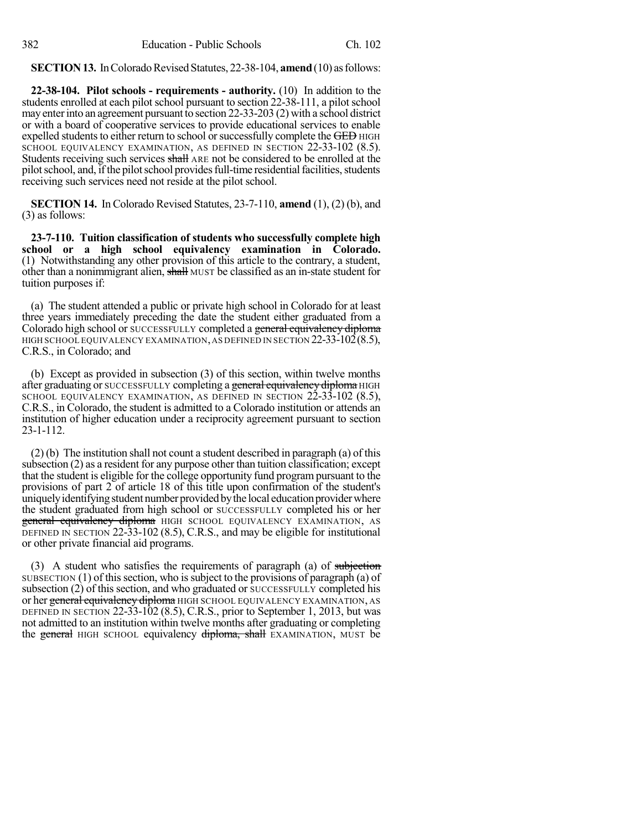**SECTION 13.** In Colorado Revised Statutes, 22-38-104, **amend** (10) as follows:

**22-38-104. Pilot schools - requirements - authority.** (10) In addition to the students enrolled at each pilot school pursuant to section 22-38-111, a pilot school mayenterinto an agreement pursuant to section 22-33-203 (2) with a school district or with a board of cooperative services to provide educational services to enable expelled students to either return to school or successfully complete the GED HIGH SCHOOL EQUIVALENCY EXAMINATION, AS DEFINED IN SECTION 22-33-102 (8.5). Students receiving such services shall ARE not be considered to be enrolled at the pilot school, and, if the pilot school provides full-time residential facilities, students receiving such services need not reside at the pilot school.

**SECTION 14.** In Colorado Revised Statutes, 23-7-110, **amend** (1), (2) (b), and (3) as follows:

**23-7-110. Tuition classification of students who successfully complete high school or a high school equivalency examination in Colorado.** (1) Notwithstanding any other provision of this article to the contrary, a student, other than a nonimmigrant alien, shall MUST be classified as an in-state student for tuition purposes if:

(a) The student attended a public or private high school in Colorado for at least three years immediately preceding the date the student either graduated from a Colorado high school or SUCCESSFULLY completed a general equivalency diploma HIGH SCHOOL EQUIVALENCY EXAMINATION, AS DEFINED IN SECTION 22-33-102(8.5), C.R.S., in Colorado; and

(b) Except as provided in subsection (3) of this section, within twelve months after graduating or SUCCESSFULLY completing a general equivalency diploma HIGH SCHOOL EQUIVALENCY EXAMINATION, AS DEFINED IN SECTION 22-33-102 (8.5), C.R.S., in Colorado, the student is admitted to a Colorado institution or attends an institution of higher education under a reciprocity agreement pursuant to section 23-1-112.

 $(2)$  (b) The institution shall not count a student described in paragraph (a) of this subsection (2) as a resident for any purpose other than tuition classification; except that the student is eligible for the college opportunity fund programpursuant to the provisions of part 2 of article 18 of this title upon confirmation of the student's uniquely identifying student number provided by the local education provider where the student graduated from high school or SUCCESSFULLY completed his or her general equivalency diploma HIGH SCHOOL EQUIVALENCY EXAMINATION, AS DEFINED IN SECTION 22-33-102 (8.5), C.R.S., and may be eligible for institutional or other private financial aid programs.

(3) A student who satisfies the requirements of paragraph (a) of subjection SUBSECTION  $(1)$  of this section, who is subject to the provisions of paragraph  $(a)$  of subsection (2) of this section, and who graduated or SUCCESSFULLY completed his or her general equivalency diploma HIGH SCHOOL EQUIVALENCY EXAMINATION, AS DEFINED IN SECTION 22-33-102 (8.5), C.R.S., prior to September 1, 2013, but was not admitted to an institution within twelve months after graduating or completing the general HIGH SCHOOL equivalency diploma, shall EXAMINATION, MUST be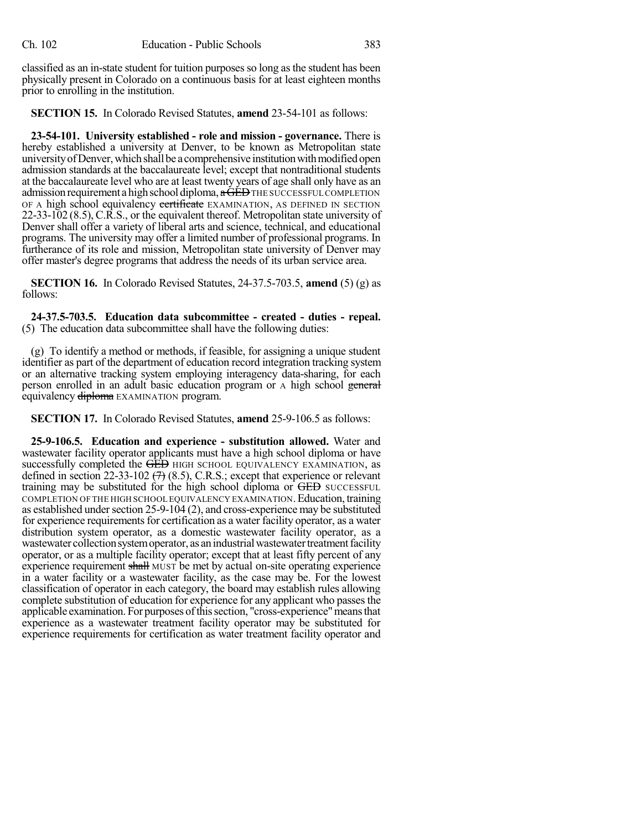classified as an in-state student for tuition purposes so long as the student has been physically present in Colorado on a continuous basis for at least eighteen months prior to enrolling in the institution.

**SECTION 15.** In Colorado Revised Statutes, **amend** 23-54-101 as follows:

**23-54-101. University established - role and mission - governance.** There is hereby established a university at Denver, to be known as Metropolitan state university of Denver, which shall be a comprehensive institution with modified open admission standards at the baccalaureate level; except that nontraditional students at the baccalaureate level who are at least twenty years of age shall only have as an admission requirement a high school diploma,  $\alpha$  GED THE SUCCESSFUL COMPLETION OF A high school equivalency certificate EXAMINATION, AS DEFINED IN SECTION 22-33-102 (8.5), C.R.S., or the equivalent thereof. Metropolitan state university of Denver shall offer a variety of liberal arts and science, technical, and educational programs. The university may offer a limited number of professional programs. In furtherance of its role and mission, Metropolitan state university of Denver may offer master's degree programs that address the needs of its urban service area.

**SECTION 16.** In Colorado Revised Statutes, 24-37.5-703.5, **amend** (5) (g) as follows:

**24-37.5-703.5. Education data subcommittee - created - duties - repeal.** (5) The education data subcommittee shall have the following duties:

(g) To identify a method or methods, if feasible, for assigning a unique student identifier as part of the department of education record integration tracking system or an alternative tracking system employing interagency data-sharing, for each person enrolled in an adult basic education program or A high school general equivalency diploma EXAMINATION program.

**SECTION 17.** In Colorado Revised Statutes, **amend** 25-9-106.5 as follows:

**25-9-106.5. Education and experience - substitution allowed.** Water and wastewater facility operator applicants must have a high school diploma or have successfully completed the GED HIGH SCHOOL EQUIVALENCY EXAMINATION, as defined in section 22-33-102  $(7)$  (8.5), C.R.S.; except that experience or relevant training may be substituted for the high school diploma or GED SUCCESSFUL COMPLETION OF THE HIGH SCHOOL EQUIVALENCY EXAMINATION.Education, training as established under section  $25-9-104$  (2), and cross-experience may be substituted for experience requirements for certification as a water facility operator, as a water distribution system operator, as a domestic wastewater facility operator, as a wastewater collection system operator, as an industrial wastewater treatment facility operator, or as a multiple facility operator; except that at least fifty percent of any experience requirement shall MUST be met by actual on-site operating experience in a water facility or a wastewater facility, as the case may be. For the lowest classification of operator in each category, the board may establish rules allowing complete substitution of education for experience for any applicant who passes the applicable examination. For purposes of this section, "cross-experience" means that experience as a wastewater treatment facility operator may be substituted for experience requirements for certification as water treatment facility operator and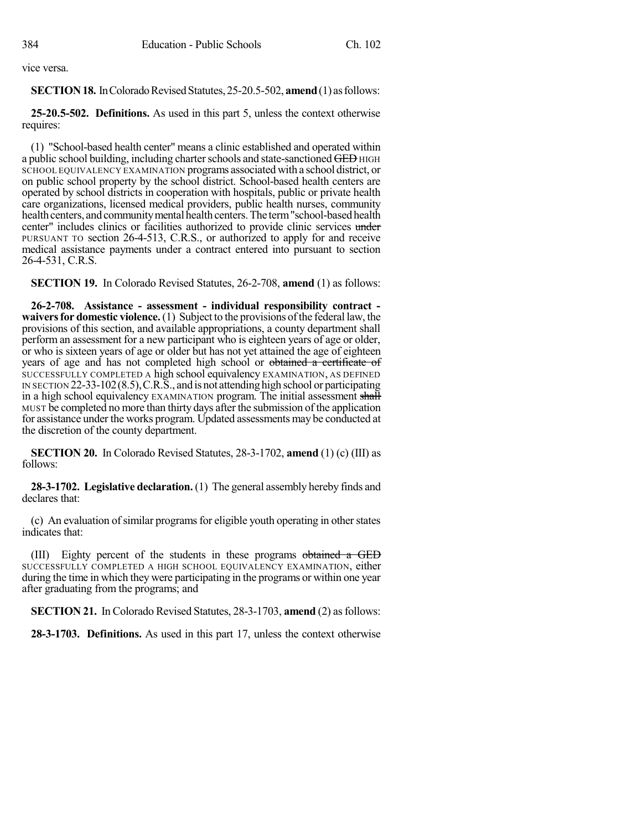vice versa.

## **SECTION 18.** In Colorado Revised Statutes, 25-20.5-502, **amend** (1) as follows:

**25-20.5-502. Definitions.** As used in this part 5, unless the context otherwise requires:

(1) "School-based health center" means a clinic established and operated within a public school building, including charter schools and state-sanctioned GED HIGH SCHOOL EQUIVALENCY EXAMINATION programs associated with a school district, or on public school property by the school district. School-based health centers are operated by school districts in cooperation with hospitals, public or private health care organizations, licensed medical providers, public health nurses, community health centers, and community mental health centers. The term "school-based health center" includes clinics or facilities authorized to provide clinic services under PURSUANT TO section 26-4-513, C.R.S., or authorized to apply for and receive medical assistance payments under a contract entered into pursuant to section 26-4-531, C.R.S.

**SECTION 19.** In Colorado Revised Statutes, 26-2-708, **amend** (1) as follows:

**26-2-708. Assistance - assessment - individual responsibility contract waivers for domestic violence.** (1) Subject to the provisions of the federal law, the provisions of this section, and available appropriations, a county department shall perform an assessment for a new participant who is eighteen years of age or older, or who is sixteen years of age or older but has not yet attained the age of eighteen years of age and has not completed high school or obtained a certificate of SUCCESSFULLY COMPLETED A high school equivalency EXAMINATION, AS DEFINED IN SECTION 22-33-102(8.5),C.R.S., and is not attending high school or participating in a high school equivalency EXAMINATION program. The initial assessment shall MUST be completed no more than thirty days after the submission of the application for assistance under the works program. Updated assessments may be conducted at the discretion of the county department.

**SECTION 20.** In Colorado Revised Statutes, 28-3-1702, **amend** (1) (c) (III) as follows:

**28-3-1702. Legislative declaration.** (1) The general assembly hereby finds and declares that:

(c) An evaluation of similar programs for eligible youth operating in other states indicates that:

(III) Eighty percent of the students in these programs obtained a GED SUCCESSFULLY COMPLETED A HIGH SCHOOL EQUIVALENCY EXAMINATION, either during the time in which they were participating in the programs or within one year after graduating from the programs; and

**SECTION 21.** In Colorado Revised Statutes, 28-3-1703, **amend** (2) as follows:

**28-3-1703. Definitions.** As used in this part 17, unless the context otherwise